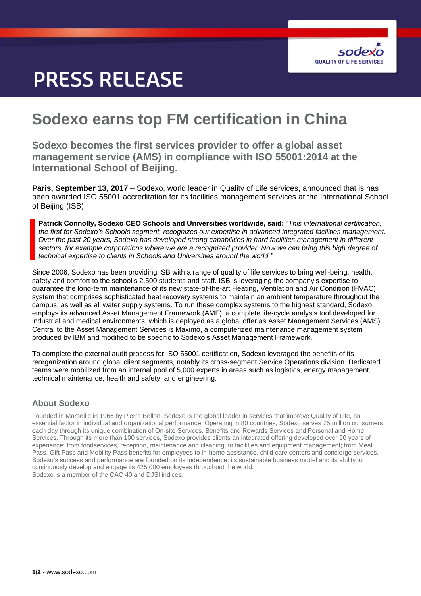

# **PRESS RELEASE**

## **Sodexo earns top FM certification in China**

**Sodexo becomes the first services provider to offer a global asset management service (AMS) in compliance with ISO 55001:2014 at the International School of Beijing.**

**Paris, September 13, 2017** – Sodexo, world leader in Quality of Life services, announced that is has been awarded ISO 55001 accreditation for its facilities management services at the International School of Beijing (ISB).

**Patrick Connolly, Sodexo CEO Schools and Universities worldwide, said:** *"This international certification, the first for Sodexo's Schools segment, recognizes our expertise in advanced integrated facilities management. Over the past 20 years, Sodexo has developed strong capabilities in hard facilities management in different sectors, for example corporations where we are a recognized provider. Now we can bring this high degree of technical expertise to clients in Schools and Universities around the world."*

Since 2006, Sodexo has been providing ISB with a range of quality of life services to bring well-being, health, safety and comfort to the school's 2,500 students and staff. ISB is leveraging the company's expertise to guarantee the long-term maintenance of its new state-of-the-art Heating, Ventilation and Air Condition (HVAC) system that comprises sophisticated heat recovery systems to maintain an ambient temperature throughout the campus, as well as all water supply systems. To run these complex systems to the highest standard, Sodexo employs its advanced Asset Management Framework (AMF), a complete life-cycle analysis tool developed for industrial and medical environments, which is deployed as a global offer as Asset Management Services (AMS). Central to the Asset Management Services is Maximo, a computerized maintenance management system produced by IBM and modified to be specific to Sodexo's Asset Management Framework.

To complete the external audit process for ISO 55001 certification, Sodexo leveraged the benefits of its reorganization around global client segments, notably its cross-segment Service Operations division. Dedicated teams were mobilized from an internal pool of 5,000 experts in areas such as logistics, energy management, technical maintenance, health and safety, and engineering.

## **About Sodexo**

Founded in Marseille in 1966 by Pierre Bellon, Sodexo is the global leader in services that improve Quality of Life, an essential factor in individual and organizational performance. Operating in 80 countries, Sodexo serves 75 million consumers each day through its unique combination of On-site Services, Benefits and Rewards Services and Personal and Home Services. Through its more than 100 services, Sodexo provides clients an integrated offering developed over 50 years of experience: from foodservices, reception, maintenance and cleaning, to facilities and equipment management; from Meal Pass, Gift Pass and Mobility Pass benefits for employees to in-home assistance, child care centers and concierge services. Sodexo's success and performance are founded on its independence, its sustainable business model and its ability to continuously develop and engage its 425,000 employees throughout the world. Sodexo is a member of the CAC 40 and DJSI indices.